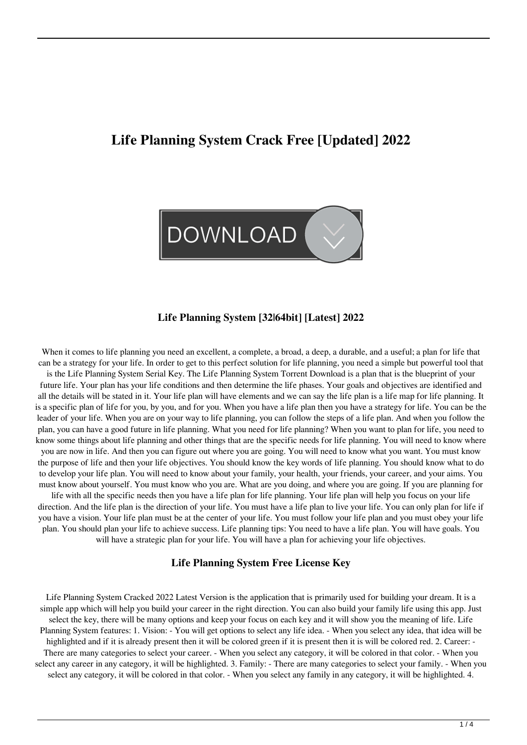# **Life Planning System Crack Free [Updated] 2022**



#### **Life Planning System [32|64bit] [Latest] 2022**

When it comes to life planning you need an excellent, a complete, a broad, a deep, a durable, and a useful; a plan for life that can be a strategy for your life. In order to get to this perfect solution for life planning, you need a simple but powerful tool that

is the Life Planning System Serial Key. The Life Planning System Torrent Download is a plan that is the blueprint of your future life. Your plan has your life conditions and then determine the life phases. Your goals and objectives are identified and all the details will be stated in it. Your life plan will have elements and we can say the life plan is a life map for life planning. It is a specific plan of life for you, by you, and for you. When you have a life plan then you have a strategy for life. You can be the leader of your life. When you are on your way to life planning, you can follow the steps of a life plan. And when you follow the plan, you can have a good future in life planning. What you need for life planning? When you want to plan for life, you need to know some things about life planning and other things that are the specific needs for life planning. You will need to know where you are now in life. And then you can figure out where you are going. You will need to know what you want. You must know the purpose of life and then your life objectives. You should know the key words of life planning. You should know what to do to develop your life plan. You will need to know about your family, your health, your friends, your career, and your aims. You must know about yourself. You must know who you are. What are you doing, and where you are going. If you are planning for

life with all the specific needs then you have a life plan for life planning. Your life plan will help you focus on your life direction. And the life plan is the direction of your life. You must have a life plan to live your life. You can only plan for life if you have a vision. Your life plan must be at the center of your life. You must follow your life plan and you must obey your life plan. You should plan your life to achieve success. Life planning tips: You need to have a life plan. You will have goals. You will have a strategic plan for your life. You will have a plan for achieving your life objectives.

#### **Life Planning System Free License Key**

Life Planning System Cracked 2022 Latest Version is the application that is primarily used for building your dream. It is a simple app which will help you build your career in the right direction. You can also build your family life using this app. Just select the key, there will be many options and keep your focus on each key and it will show you the meaning of life. Life Planning System features: 1. Vision: - You will get options to select any life idea. - When you select any idea, that idea will be highlighted and if it is already present then it will be colored green if it is present then it is will be colored red. 2. Career: - There are many categories to select your career. - When you select any category, it will be colored in that color. - When you select any career in any category, it will be highlighted. 3. Family: - There are many categories to select your family. - When you select any category, it will be colored in that color. - When you select any family in any category, it will be highlighted. 4.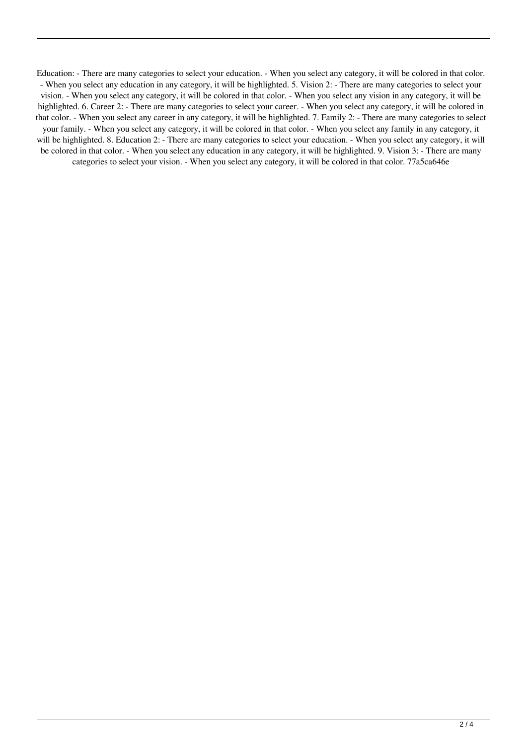Education: - There are many categories to select your education. - When you select any category, it will be colored in that color. - When you select any education in any category, it will be highlighted. 5. Vision 2: - There are many categories to select your vision. - When you select any category, it will be colored in that color. - When you select any vision in any category, it will be highlighted. 6. Career 2: - There are many categories to select your career. - When you select any category, it will be colored in that color. - When you select any career in any category, it will be highlighted. 7. Family 2: - There are many categories to select your family. - When you select any category, it will be colored in that color. - When you select any family in any category, it will be highlighted. 8. Education 2: - There are many categories to select your education. - When you select any category, it will be colored in that color. - When you select any education in any category, it will be highlighted. 9. Vision 3: - There are many categories to select your vision. - When you select any category, it will be colored in that color. 77a5ca646e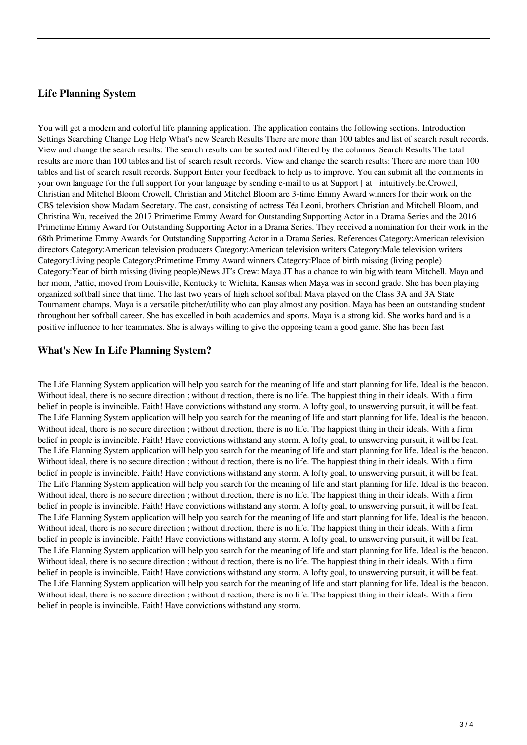### **Life Planning System**

You will get a modern and colorful life planning application. The application contains the following sections. Introduction Settings Searching Change Log Help What's new Search Results There are more than 100 tables and list of search result records. View and change the search results: The search results can be sorted and filtered by the columns. Search Results The total results are more than 100 tables and list of search result records. View and change the search results: There are more than 100 tables and list of search result records. Support Enter your feedback to help us to improve. You can submit all the comments in your own language for the full support for your language by sending e-mail to us at Support [ at ] intuitively.be.Crowell, Christian and Mitchel Bloom Crowell, Christian and Mitchel Bloom are 3-time Emmy Award winners for their work on the CBS television show Madam Secretary. The cast, consisting of actress Téa Leoni, brothers Christian and Mitchell Bloom, and Christina Wu, received the 2017 Primetime Emmy Award for Outstanding Supporting Actor in a Drama Series and the 2016 Primetime Emmy Award for Outstanding Supporting Actor in a Drama Series. They received a nomination for their work in the 68th Primetime Emmy Awards for Outstanding Supporting Actor in a Drama Series. References Category:American television directors Category:American television producers Category:American television writers Category:Male television writers Category:Living people Category:Primetime Emmy Award winners Category:Place of birth missing (living people) Category:Year of birth missing (living people)News JT's Crew: Maya JT has a chance to win big with team Mitchell. Maya and her mom, Pattie, moved from Louisville, Kentucky to Wichita, Kansas when Maya was in second grade. She has been playing organized softball since that time. The last two years of high school softball Maya played on the Class 3A and 3A State Tournament champs. Maya is a versatile pitcher/utility who can play almost any position. Maya has been an outstanding student throughout her softball career. She has excelled in both academics and sports. Maya is a strong kid. She works hard and is a positive influence to her teammates. She is always willing to give the opposing team a good game. She has been fast

### **What's New In Life Planning System?**

The Life Planning System application will help you search for the meaning of life and start planning for life. Ideal is the beacon. Without ideal, there is no secure direction ; without direction, there is no life. The happiest thing in their ideals. With a firm belief in people is invincible. Faith! Have convictions withstand any storm. A lofty goal, to unswerving pursuit, it will be feat. The Life Planning System application will help you search for the meaning of life and start planning for life. Ideal is the beacon. Without ideal, there is no secure direction; without direction, there is no life. The happiest thing in their ideals. With a firm belief in people is invincible. Faith! Have convictions withstand any storm. A lofty goal, to unswerving pursuit, it will be feat. The Life Planning System application will help you search for the meaning of life and start planning for life. Ideal is the beacon. Without ideal, there is no secure direction; without direction, there is no life. The happiest thing in their ideals. With a firm belief in people is invincible. Faith! Have convictions withstand any storm. A lofty goal, to unswerving pursuit, it will be feat. The Life Planning System application will help you search for the meaning of life and start planning for life. Ideal is the beacon. Without ideal, there is no secure direction ; without direction, there is no life. The happiest thing in their ideals. With a firm belief in people is invincible. Faith! Have convictions withstand any storm. A lofty goal, to unswerving pursuit, it will be feat. The Life Planning System application will help you search for the meaning of life and start planning for life. Ideal is the beacon. Without ideal, there is no secure direction; without direction, there is no life. The happiest thing in their ideals. With a firm belief in people is invincible. Faith! Have convictions withstand any storm. A lofty goal, to unswerving pursuit, it will be feat. The Life Planning System application will help you search for the meaning of life and start planning for life. Ideal is the beacon. Without ideal, there is no secure direction ; without direction, there is no life. The happiest thing in their ideals. With a firm belief in people is invincible. Faith! Have convictions withstand any storm. A lofty goal, to unswerving pursuit, it will be feat. The Life Planning System application will help you search for the meaning of life and start planning for life. Ideal is the beacon. Without ideal, there is no secure direction ; without direction, there is no life. The happiest thing in their ideals. With a firm belief in people is invincible. Faith! Have convictions withstand any storm.